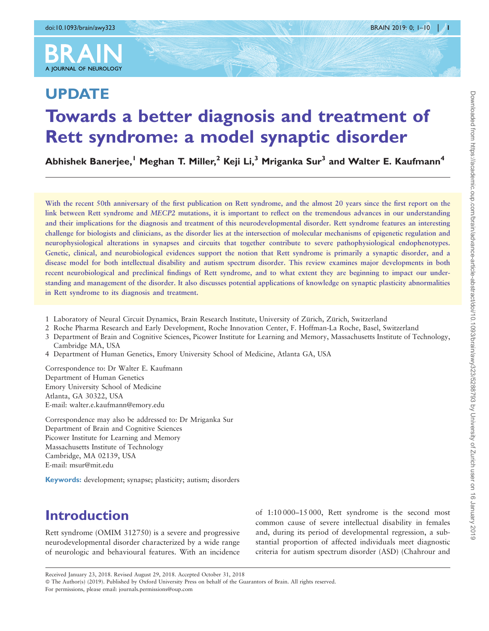

# UPDATE Towards a better diagnosis and treatment of Rett syndrome: a model synaptic disorder

Abhishek Baneriee,<sup>1</sup> Meghan T. Miller,<sup>2</sup> Keii Li,<sup>3</sup> Mriganka Sur<sup>3</sup> and Walter E. Kaufmann<sup>4</sup>

With the recent 50th anniversary of the first publication on Rett syndrome, and the almost 20 years since the first report on the link between Rett syndrome and MECP2 mutations, it is important to reflect on the tremendous advances in our understanding and their implications for the diagnosis and treatment of this neurodevelopmental disorder. Rett syndrome features an interesting challenge for biologists and clinicians, as the disorder lies at the intersection of molecular mechanisms of epigenetic regulation and neurophysiological alterations in synapses and circuits that together contribute to severe pathophysiological endophenotypes. Genetic, clinical, and neurobiological evidences support the notion that Rett syndrome is primarily a synaptic disorder, and a disease model for both intellectual disability and autism spectrum disorder. This review examines major developments in both recent neurobiological and preclinical findings of Rett syndrome, and to what extent they are beginning to impact our understanding and management of the disorder. It also discusses potential applications of knowledge on synaptic plasticity abnormalities in Rett syndrome to its diagnosis and treatment.

- 1 Laboratory of Neural Circuit Dynamics, Brain Research Institute, University of Zürich, Zürich, Switzerland
- 2 Roche Pharma Research and Early Development, Roche Innovation Center, F. Hoffman-La Roche, Basel, Switzerland
- 3 Department of Brain and Cognitive Sciences, Picower Institute for Learning and Memory, Massachusetts Institute of Technology, Cambridge MA, USA
- 4 Department of Human Genetics, Emory University School of Medicine, Atlanta GA, USA

Correspondence to: Dr Walter E. Kaufmann Department of Human Genetics Emory University School of Medicine Atlanta, GA 30322, USA E-mail: walter.e.kaufmann@emory.edu

Correspondence may also be addressed to: Dr Mriganka Sur Department of Brain and Cognitive Sciences Picower Institute for Learning and Memory Massachusetts Institute of Technology Cambridge, MA 02139, USA E-mail: msur@mit.edu

Keywords: development; synapse; plasticity; autism; disorders

# Introduction

Rett syndrome (OMIM 312750) is a severe and progressive neurodevelopmental disorder characterized by a wide range of neurologic and behavioural features. With an incidence of 1:10 000–15 000, Rett syndrome is the second most common cause of severe intellectual disability in females and, during its period of developmental regression, a substantial proportion of affected individuals meet diagnostic criteria for autism spectrum disorder (ASD) [\(Chahrour and](#page-7-0)

For permissions, please email: journals.permissions@oup.com

Received January 23, 2018. Revised August 29, 2018. Accepted October 31, 2018 © The Author(s) (2019). Published by Oxford University Press on behalf of the Guarantors of Brain. All rights reserved.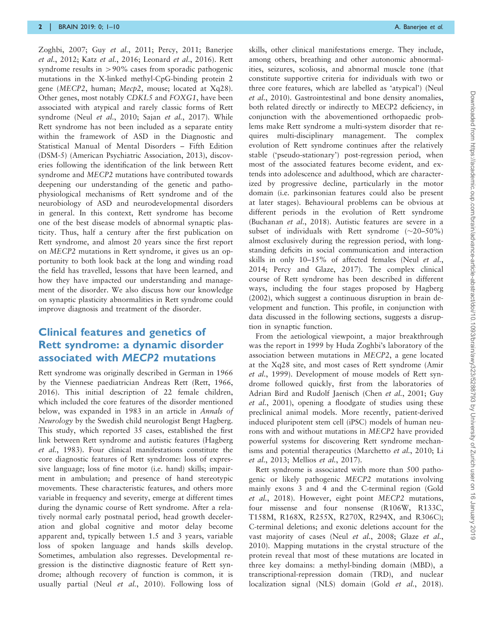[Zoghbi, 2007](#page-7-0); Guy et al.[, 2011](#page-8-0); [Percy, 2011;](#page-9-0) [Banerjee](#page-7-0) et al.[, 2012](#page-7-0); Katz et al.[, 2016](#page-8-0); [Leonard](#page-8-0) et al., 2016). Rett syndrome results in  $> 90\%$  cases from sporadic pathogenic mutations in the X-linked methyl-CpG-binding protein 2 gene (MECP2, human; Mecp2, mouse; located at Xq28). Other genes, most notably CDKL5 and FOXG1, have been associated with atypical and rarely classic forms of Rett syndrome (Neul et al.[, 2010;](#page-9-0) Sajan et al.[, 2017](#page-9-0)). While Rett syndrome has not been included as a separate entity within the framework of ASD in the Diagnostic and Statistical Manual of Mental Disorders – Fifth Edition (DSM-5) (American Psychiatric Association, 2013), discoveries following the identification of the link between Rett syndrome and MECP2 mutations have contributed towards deepening our understanding of the genetic and pathophysiological mechanisms of Rett syndrome and of the neurobiology of ASD and neurodevelopmental disorders in general. In this context, Rett syndrome has become one of the best disease models of abnormal synaptic plasticity. Thus, half a century after the first publication on Rett syndrome, and almost 20 years since the first report on MECP2 mutations in Rett syndrome, it gives us an opportunity to both look back at the long and winding road the field has travelled, lessons that have been learned, and how they have impacted our understanding and management of the disorder. We also discuss how our knowledge on synaptic plasticity abnormalities in Rett syndrome could improve diagnosis and treatment of the disorder.

#### Clinical features and genetics of Rett syndrome: a dynamic disorder associated with MECP2 mutations

Rett syndrome was originally described in German in 1966 by the Viennese paediatrician Andreas Rett ([Rett, 1966,](#page-9-0) [2016](#page-9-0)). This initial description of 22 female children, which included the core features of the disorder mentioned below, was expanded in 1983 in an article in Annals of Neurology by the Swedish child neurologist Bengt Hagberg. This study, which reported 35 cases, established the first link between Rett syndrome and autistic features [\(Hagberg](#page-8-0) et al.[, 1983\)](#page-8-0). Four clinical manifestations constitute the core diagnostic features of Rett syndrome: loss of expressive language; loss of fine motor (i.e. hand) skills; impairment in ambulation; and presence of hand stereotypic movements. These characteristic features, and others more variable in frequency and severity, emerge at different times during the dynamic course of Rett syndrome. After a relatively normal early postnatal period, head growth deceleration and global cognitive and motor delay become apparent and, typically between 1.5 and 3 years, variable loss of spoken language and hands skills develop. Sometimes, ambulation also regresses. Developmental regression is the distinctive diagnostic feature of Rett syndrome; although recovery of function is common, it is usually partial (Neul et al.[, 2010\)](#page-9-0). Following loss of

skills, other clinical manifestations emerge. They include, among others, breathing and other autonomic abnormalities, seizures, scoliosis, and abnormal muscle tone (that constitute supportive criteria for individuals with two or three core features, which are labelled as 'atypical') [\(Neul](#page-9-0) et al.[, 2010](#page-9-0)). Gastrointestinal and bone density anomalies, both related directly or indirectly to MECP2 deficiency, in conjunction with the abovementioned orthopaedic problems make Rett syndrome a multi-system disorder that requires multi-disciplinary management. The complex evolution of Rett syndrome continues after the relatively stable ('pseudo-stationary') post-regression period, when most of the associated features become evident, and extends into adolescence and adulthood, which are characterized by progressive decline, particularly in the motor domain (i.e. parkinsonian features could also be present at later stages). Behavioural problems can be obvious at different periods in the evolution of Rett syndrome [\(Buchanan](#page-7-0) et al., 2018). Autistic features are severe in a subset of individuals with Rett syndrome  $(\sim 20 - 50\%)$ almost exclusively during the regression period, with longstanding deficits in social communication and interaction skills in only 10–15% of affected females (Neul [et al.](#page-9-0), [2014; Percy and Glaze, 2017](#page-9-0)). The complex clinical course of Rett syndrome has been described in different ways, including the four stages proposed by [Hagberg](#page-8-0) [\(2002\)](#page-8-0), which suggest a continuous disruption in brain development and function. This profile, in conjunction with data discussed in the following sections, suggests a disruption in synaptic function.

From the aetiological viewpoint, a major breakthrough was the report in 1999 by Huda Zoghbi's laboratory of the association between mutations in MECP2, a gene located at the Xq28 site, and most cases of Rett syndrome [\(Amir](#page-7-0) et al.[, 1999](#page-7-0)). Development of mouse models of Rett syndrome followed quickly, first from the laboratories of Adrian Bird and Rudolf Jaenisch (Chen et al.[, 2001](#page-7-0); [Guy](#page-8-0) et al.[, 2001\)](#page-8-0), opening a floodgate of studies using these preclinical animal models. More recently, patient-derived induced pluripotent stem cell (iPSC) models of human neurons with and without mutations in MECP2 have provided powerful systems for discovering Rett syndrome mechan-isms and potential therapeutics [\(Marchetto](#page-8-0) et al., 2010; [Li](#page-8-0) et al.[, 2013](#page-8-0); [Mellios](#page-9-0) et al., 2017).

Rett syndrome is associated with more than 500 pathogenic or likely pathogenic MECP2 mutations involving mainly exons 3 and 4 and the C-terminal region ([Gold](#page-8-0) et al.[, 2018](#page-8-0)). However, eight point MECP2 mutations, four missense and four nonsense (R106W, R133C, T158M, R168X, R255X, R270X, R294X, and R306C); C-terminal deletions; and exonic deletions account for the vast majority of cases (Neul et al.[, 2008;](#page-9-0) [Glaze](#page-8-0) et al., [2010\)](#page-8-0). Mapping mutations in the crystal structure of the protein reveal that most of these mutations are located in three key domains: a methyl-binding domain (MBD), a transcriptional-repression domain (TRD), and nuclear localization signal (NLS) domain (Gold *et al.*[, 2018](#page-8-0)).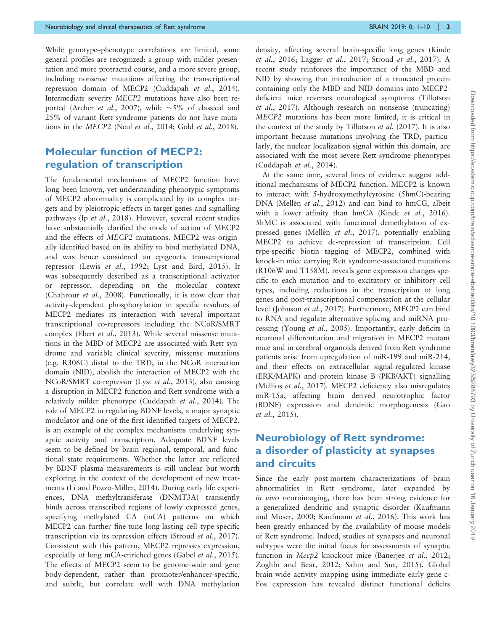While genotype–phenotype correlations are limited, some general profiles are recognized: a group with milder presentation and more protracted course, and a more severe group, including nonsense mutations affecting the transcriptional repression domain of MECP2 [\(Cuddapah](#page-7-0) et al., 2014). Intermediate severity MECP2 mutations have also been reported (Archer *et al.*[, 2007](#page-7-0)), while  $\sim$ 5% of classical and 25% of variant Rett syndrome patients do not have mutations in the MECP2 (Neul et al.[, 2014;](#page-9-0) Gold et al.[, 2018\)](#page-8-0).

#### Molecular function of MECP2: regulation of transcription

The fundamental mechanisms of MECP2 function have long been known, yet understanding phenotypic symptoms of MECP2 abnormality is complicated by its complex targets and by pleiotropic effects in target genes and signalling pathways (Ip et al.[, 2018\)](#page-8-0). However, several recent studies have substantially clarified the mode of action of MECP2 and the effects of MECP2 mutations. MECP2 was originally identified based on its ability to bind methylated DNA, and was hence considered an epigenetic transcriptional repressor (Lewis et al.[, 1992](#page-8-0); [Lyst and Bird, 2015](#page-8-0)). It was subsequently described as a transcriptional activator or repressor, depending on the molecular context ([Chahrour](#page-7-0) et al., 2008). Functionally, it is now clear that activity-dependent phosphorylation in specific residues of MECP2 mediates its interaction with several important transcriptional co-repressors including the NCoR/SMRT complex (Ebert et al.[, 2013\)](#page-7-0). While several missense mutations in the MBD of MECP2 are associated with Rett syndrome and variable clinical severity, missense mutations (e.g. R306C) distal to the TRD, in the NCoR interaction domain (NID), abolish the interaction of MECP2 with the NCoR/SMRT co-repressor (Lyst et al.[, 2013](#page-8-0)), also causing a disruption in MECP2 function and Rett syndrome with a relatively milder phenotype [\(Cuddapah](#page-7-0) et al., 2014). The role of MECP2 in regulating BDNF levels, a major synaptic modulator and one of the first identified targets of MECP2, is an example of the complex mechanisms underlying synaptic activity and transcription. Adequate BDNF levels seem to be defined by brain regional, temporal, and functional state requirements. Whether the latter are reflected by BDNF plasma measurements is still unclear but worth exploring in the context of the development of new treatments ([Li and Pozzo-Miller, 2014](#page-8-0)). During early life experiences, DNA methyltransferase (DNMT3A) transiently binds across transcribed regions of lowly expressed genes, specifying methylated CA (mCA) patterns on which MECP2 can further fine-tune long-lasting cell type-specific transcription via its repression effects (Stroud et al.[, 2017](#page-9-0)). Consistent with this pattern, MECP2 represses expression, especially of long mCA-enriched genes (Gabel *et al.*[, 2015](#page-7-0)). The effects of MECP2 seem to be genome-wide and gene body-dependent, rather than promoter/enhancer-specific, and subtle, but correlate well with DNA methylation

density, affecting several brain-specific long genes ([Kinde](#page-8-0) et al.[, 2016](#page-8-0); [Lagger](#page-8-0) et al., 2017; Stroud et al.[, 2017\)](#page-9-0). A recent study reinforces the importance of the MBD and NID by showing that introduction of a truncated protein containing only the MBD and NID domains into MECP2 deficient mice reverses neurological symptoms [\(Tillotson](#page-9-0) et al.[, 2017](#page-9-0)). Although research on nonsense (truncating) MECP2 mutations has been more limited, it is critical in the context of the study by [Tillotson](#page-9-0) et al. (2017). It is also important because mutations involving the TRD, particularly, the nuclear localization signal within this domain, are associated with the most severe Rett syndrome phenotypes ([Cuddapah](#page-7-0) et al., 2014).

At the same time, several lines of evidence suggest additional mechanisms of MECP2 function. MECP2 is known to interact with 5-hydroxymethylcytosine (5hmC)-bearing DNA (Mellén et al., 2012) and can bind to hmCG, albeit with a lower affinity than hmCA (Kinde et al.[, 2016\)](#page-8-0). 5hMC is associated with functional demethylation of ex-pressed genes (Mellén et al.[, 2017\)](#page-9-0), potentially enabling MECP2 to achieve de-repression of transcription. Cell type-specific biotin tagging of MECP2, combined with knock-in mice carrying Rett syndrome-associated mutations (R106W and T158M), reveals gene expression changes specific to each mutation and to excitatory or inhibitory cell types, including reductions in the transcription of long genes and post-transcriptional compensation at the cellular level ([Johnson](#page-8-0) et al., 2017). Furthermore, MECP2 can bind to RNA and regulate alternative splicing and miRNA processing (Young et al.[, 2005\)](#page-9-0). Importantly, early deficits in neuronal differentiation and migration in MECP2 mutant mice and in cerebral organoids derived from Rett syndrome patients arise from upregulation of miR-199 and miR-214, and their effects on extracellular signal-regulated kinase (ERK/MAPK) and protein kinase B (PKB/AKT) signalling ([Mellios](#page-9-0) et al., 2017). MECP2 deficiency also misregulates miR-15a, affecting brain derived neurotrophic factor (BDNF) expression and dendritic morphogenesis [\(Gao](#page-7-0) et al.[, 2015\)](#page-7-0).

#### Neurobiology of Rett syndrome: a disorder of plasticity at synapses and circuits

Since the early post-mortem characterizations of brain abnormalities in Rett syndrome, later expanded by in vivo neuroimaging, there has been strong evidence for a generalized dendritic and synaptic disorder ([Kaufmann](#page-8-0) [and Moser, 2000](#page-8-0); [Kaufmann](#page-8-0) et al., 2016). This work has been greatly enhanced by the availability of mouse models of Rett syndrome. Indeed, studies of synapses and neuronal subtypes were the initial focus for assessments of synaptic function in *Mecp2* knockout mice [\(Banerjee](#page-7-0) et al., 2012; [Zoghbi and Bear, 2012; Sahin and Sur, 2015](#page-9-0)). Global brain-wide activity mapping using immediate early gene c-Fos expression has revealed distinct functional deficits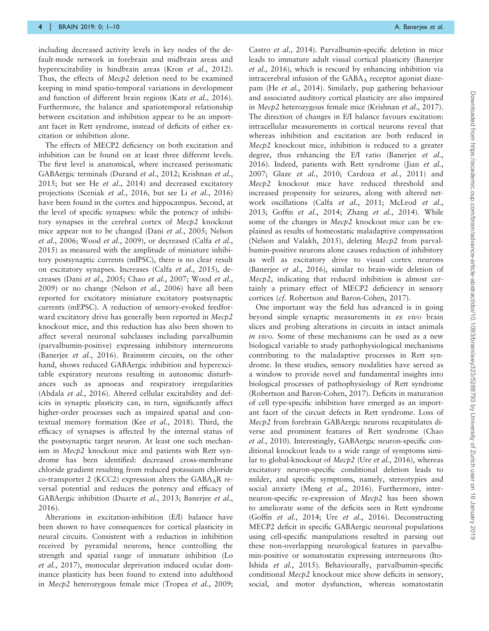including decreased activity levels in key nodes of the default-mode network in forebrain and midbrain areas and hyperexcitability in hindbrain areas (Kron et al.[, 2012\)](#page-8-0). Thus, the effects of Mecp2 deletion need to be examined keeping in mind spatio-temporal variations in development and function of different brain regions (Katz et al.[, 2016\)](#page-8-0). Furthermore, the balance and spatiotemporal relationship between excitation and inhibition appear to be an important facet in Rett syndrome, instead of deficits of either excitation or inhibition alone.

The effects of MECP2 deficiency on both excitation and inhibition can be found on at least three different levels. The first level is anatomical, where increased perisomatic GABAergic terminals [\(Durand](#page-7-0) et al., 2012; [Krishnan](#page-8-0) et al., [2015](#page-8-0); but see He et al.[, 2014](#page-8-0)) and decreased excitatory projections [\(Sceniak](#page-9-0) et al., 2016, but see Li et al.[, 2016](#page-8-0)) have been found in the cortex and hippocampus. Second, at the level of specific synapses: while the potency of inhibitory synapses in the cerebral cortex of Mecp2 knockout mice appear not to be changed (Dani et al.[, 2005](#page-7-0); [Nelson](#page-9-0) et al.[, 2006](#page-9-0); Wood et al.[, 2009](#page-9-0)), or decreased ([Calfa](#page-7-0) et al., [2015](#page-7-0)) as measured with the amplitude of miniature inhibitory postsynaptic currents (mIPSC), there is no clear result on excitatory synapses. Increases (Calfa et al.[, 2015\)](#page-7-0), decreases (Dani et al.[, 2005](#page-7-0); Chao et al.[, 2007;](#page-7-0) [Wood](#page-9-0) et al., [2009](#page-9-0)) or no change (Nelson et al.[, 2006\)](#page-9-0) have all been reported for excitatory miniature excitatory postsynaptic currents (mEPSC). A reduction of sensory-evoked feedforward excitatory drive has generally been reported in Mecp2 knockout mice, and this reduction has also been shown to affect several neuronal subclasses including parvalbumin (parvalbumin-positive) expressing inhibitory interneurons [\(Banerjee](#page-7-0) et al., 2016). Brainstem circuits, on the other hand, shows reduced GABAergic inhibition and hyperexcitable expiratory neurons resulting in autonomic disturbances such as apnoeas and respiratory irregularities [\(Abdala](#page-7-0) et al., 2016). Altered cellular excitability and deficits in synaptic plasticity can, in turn, significantly affect higher-order processes such as impaired spatial and contextual memory formation (Kee et al.[, 2018\)](#page-8-0). Third, the efficacy of synapses is affected by the internal status of the postsynaptic target neuron. At least one such mechanism in Mecp2 knockout mice and patients with Rett syndrome has been identified: decreased cross-membrane chloride gradient resulting from reduced potassium chloride co-transporter 2 (KCC2) expression alters the  $GABA_AR$  reversal potential and reduces the potency and efficacy of GABAergic inhibition [\(Duarte](#page-7-0) et al., 2013; [Banerjee](#page-7-0) et al., [2016](#page-7-0)).

Alterations in excitation-inhibition (E/I) balance have been shown to have consequences for cortical plasticity in neural circuits. Consistent with a reduction in inhibition received by pyramidal neurons, hence controlling the strength and spatial range of immature inhibition [\(Lo](#page-8-0) et al.[, 2017](#page-8-0)), monocular deprivation induced ocular dominance plasticity has been found to extend into adulthood in Mecp2 heterozygous female mice ([Tropea](#page-9-0) et al., 2009;

Castro et al.[, 2014\)](#page-7-0). Parvalbumin-specific deletion in mice leads to immature adult visual cortical plasticity ([Banerjee](#page-7-0) et al.[, 2016](#page-7-0)), which is rescued by enhancing inhibition via intracerebral infusion of the  $GABA_A$  receptor agonist diazepam (He et al.[, 2014](#page-8-0)). Similarly, pup gathering behaviour and associated auditory cortical plasticity are also impaired in Mecp2 heterozygous female mice ([Krishnan](#page-8-0) et al., 2017). The direction of changes in E/I balance favours excitation: intracellular measurements in cortical neurons reveal that whereas inhibition and excitation are both reduced in Mecp2 knockout mice, inhibition is reduced to a greater degree, thus enhancing the E/I ratio ([Banerjee](#page-7-0) et al., [2016\)](#page-7-0). Indeed, patients with Rett syndrome (Jian [et al.](#page-8-0), [2007;](#page-8-0) Glaze et al.[, 2010](#page-8-0); [Cardoza](#page-7-0) et al., 2011) and Mecp2 knockout mice have reduced threshold and increased propensity for seizures, along with altered network oscillations (Calfa et al.[, 2011;](#page-7-0) [McLeod](#page-9-0) et al., [2013;](#page-9-0) Goffin et al.[, 2014](#page-8-0); Zhang et al.[, 2014](#page-9-0)). While some of the changes in Mecp2 knockout mice can be explained as results of homeostatic maladaptive compensation [\(Nelson and Valakh, 2015\)](#page-9-0), deleting Mecp2 from parvalbumin-positive neurons alone causes reduction of inhibitory as well as excitatory drive to visual cortex neurons [\(Banerjee](#page-7-0) et al., 2016), similar to brain-wide deletion of Mecp2, indicating that reduced inhibition is almost certainly a primary effect of MECP2 deficiency in sensory cortices (cf. [Robertson and Baron-Cohen, 2017](#page-9-0)).

One important way the field has advanced is in going beyond simple synaptic measurements in ex vivo brain slices and probing alterations in circuits in intact animals in vivo. Some of these mechanisms can be used as a new biological variable to study pathophysiological mechanisms contributing to the maladaptive processes in Rett syndrome. In these studies, sensory modalities have served as a window to provide novel and fundamental insights into biological processes of pathophysiology of Rett syndrome [\(Robertson and Baron-Cohen, 2017\)](#page-9-0). Deficits in maturation of cell type-specific inhibition have emerged as an important facet of the circuit defects in Rett syndrome. Loss of Mecp2 from forebrain GABAergic neurons recapitulates diverse and prominent features of Rett syndrome ([Chao](#page-7-0) et al.[, 2010\)](#page-7-0). Interestingly, GABAergic neuron-specific conditional knockout leads to a wide range of symptoms similar to global-knockout of Mecp2 (Ure et al.[, 2016\)](#page-9-0), whereas excitatory neuron-specific conditional deletion leads to milder, and specific symptoms, namely, stereotypies and social anxiety (Meng et al.[, 2016\)](#page-9-0). Furthermore, interneuron-specific re-expression of Mecp2 has been shown to ameliorate some of the deficits seen in Rett syndrome (Goffin et al.[, 2014](#page-8-0); Ure et al.[, 2016\)](#page-9-0). Deconstructing MECP2 deficit in specific GABAergic neuronal populations using cell-specific manipulations resulted in parsing out these non-overlapping neurological features in parvalbumin-positive or somatostatin expressing interneurons ([Ito-](#page-8-0)Ishida et al.[, 2015\)](#page-8-0). Behaviourally, parvalbumin-specific conditional Mecp2 knockout mice show deficits in sensory, social, and motor dysfunction, whereas somatostatin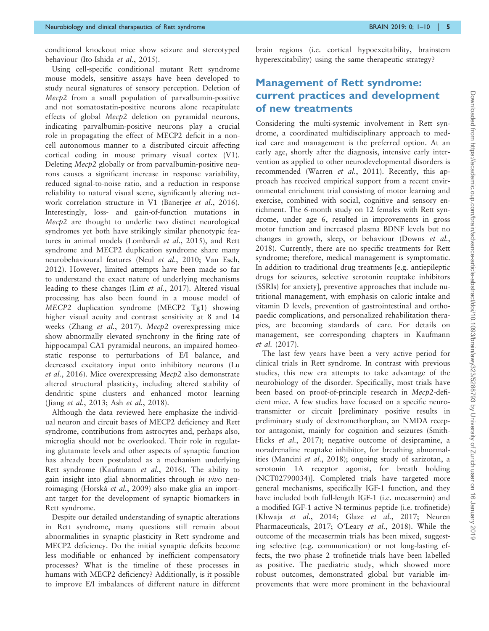conditional knockout mice show seizure and stereotyped behaviour [\(Ito-Ishida](#page-8-0) et al., 2015).

Using cell-specific conditional mutant Rett syndrome mouse models, sensitive assays have been developed to study neural signatures of sensory perception. Deletion of Mecp2 from a small population of parvalbumin-positive and not somatostatin-positive neurons alone recapitulate effects of global Mecp2 deletion on pyramidal neurons, indicating parvalbumin-positive neurons play a crucial role in propagating the effect of MECP2 deficit in a noncell autonomous manner to a distributed circuit affecting cortical coding in mouse primary visual cortex (V1). Deleting Mecp2 globally or from parvalbumin-positive neurons causes a significant increase in response variability, reduced signal-to-noise ratio, and a reduction in response reliability to natural visual scene, significantly altering network correlation structure in V1 [\(Banerjee](#page-7-0) et al., 2016). Interestingly, loss- and gain-of-function mutations in Mecp2 are thought to underlie two distinct neurological syndromes yet both have strikingly similar phenotypic features in animal models ([Lombardi](#page-8-0) et al., 2015), and Rett syndrome and MECP2 duplication syndrome share many neurobehavioural features (Neul et al.[, 2010](#page-9-0); [Van Esch,](#page-9-0) [2012\)](#page-9-0). However, limited attempts have been made so far to understand the exact nature of underlying mechanisms leading to these changes (Lim et al.[, 2017\)](#page-8-0). Altered visual processing has also been found in a mouse model of MECP2 duplication syndrome (MECP2 Tg1) showing higher visual acuity and contrast sensitivity at 8 and 14 weeks (Zhang et al.[, 2017\)](#page-9-0). Mecp2 overexpressing mice show abnormally elevated synchrony in the firing rate of hippocampal CA1 pyramidal neurons, an impaired homeostatic response to perturbations of E/I balance, and decreased excitatory input onto inhibitory neurons ([Lu](#page-8-0) et al.[, 2016](#page-8-0)). Mice overexpressing Mecp2 also demonstrate altered structural plasticity, including altered stability of dendritic spine clusters and enhanced motor learning (Jiang et al.[, 2013;](#page-8-0) Ash et al.[, 2018](#page-7-0)).

Although the data reviewed here emphasize the individual neuron and circuit bases of MECP2 deficiency and Rett syndrome, contributions from astrocytes and, perhaps also, microglia should not be overlooked. Their role in regulating glutamate levels and other aspects of synaptic function has already been postulated as a mechanism underlying Rett syndrome ([Kaufmann](#page-8-0) et al., 2016). The ability to gain insight into glial abnormalities through in vivo neuroimaging (Horská et al., 2009) also make glia an important target for the development of synaptic biomarkers in Rett syndrome.

Despite our detailed understanding of synaptic alterations in Rett syndrome, many questions still remain about abnormalities in synaptic plasticity in Rett syndrome and MECP2 deficiency. Do the initial synaptic deficits become less modifiable or enhanced by inefficient compensatory processes? What is the timeline of these processes in humans with MECP2 deficiency? Additionally, is it possible to improve E/I imbalances of different nature in different brain regions (i.e. cortical hypoexcitability, brainstem hyperexcitability) using the same therapeutic strategy?

#### Management of Rett syndrome: current practices and development of new treatments

Considering the multi-systemic involvement in Rett syndrome, a coordinated multidisciplinary approach to medical care and management is the preferred option. At an early age, shortly after the diagnosis, intensive early intervention as applied to other neurodevelopmental disorders is recommended [\(Warren](#page-9-0) *et al.*, 2011). Recently, this approach has received empirical support from a recent environmental enrichment trial consisting of motor learning and exercise, combined with social, cognitive and sensory enrichment. The 6-month study on 12 females with Rett syndrome, under age 6, resulted in improvements in gross motor function and increased plasma BDNF levels but no changes in growth, sleep, or behaviour ([Downs](#page-7-0) et al., [2018](#page-7-0)). Currently, there are no specific treatments for Rett syndrome; therefore, medical management is symptomatic. In addition to traditional drug treatments [e.g. antiepileptic drugs for seizures, selective serotonin reuptake inhibitors (SSRIs) for anxiety], preventive approaches that include nutritional management, with emphasis on caloric intake and vitamin D levels, prevention of gastrointestinal and orthopaedic complications, and personalized rehabilitation therapies, are becoming standards of care. For details on management, see corresponding chapters in [Kaufmann](#page-8-0) et al. [\(2017\)](#page-8-0).

The last few years have been a very active period for clinical trials in Rett syndrome. In contrast with previous studies, this new era attempts to take advantage of the neurobiology of the disorder. Specifically, most trials have been based on proof-of-principle research in Mecp2-deficient mice. A few studies have focused on a specific neurotransmitter or circuit [preliminary positive results in preliminary study of dextromethorphan, an NMDA receptor antagonist, mainly for cognition and seizures [\(Smith-](#page-9-0)Hicks et al.[, 2017](#page-9-0)); negative outcome of desipramine, a noradrenaline reuptake inhibitor, for breathing abnormalities ([Mancini](#page-8-0) et al., 2018); ongoing study of sarizotan, a serotonin 1A receptor agonist, for breath holding (NCT02790034)]. Completed trials have targeted more general mechanisms, specifically IGF-1 function, and they have included both full-length IGF-1 (i.e. mecasermin) and a modified IGF-1 active N-terminus peptide (i.e. trofinetide) (Khwaja et al.[, 2014;](#page-8-0) Glaze et al.[, 2017;](#page-7-0) [Neuren](#page-9-0) [Pharmaceuticals, 2017; O'Leary](#page-9-0) et al., 2018). While the outcome of the mecasermin trials has been mixed, suggesting selective (e.g. communication) or not long-lasting effects, the two phase 2 trofinetide trials have been labelled as positive. The paediatric study, which showed more robust outcomes, demonstrated global but variable improvements that were more prominent in the behavioural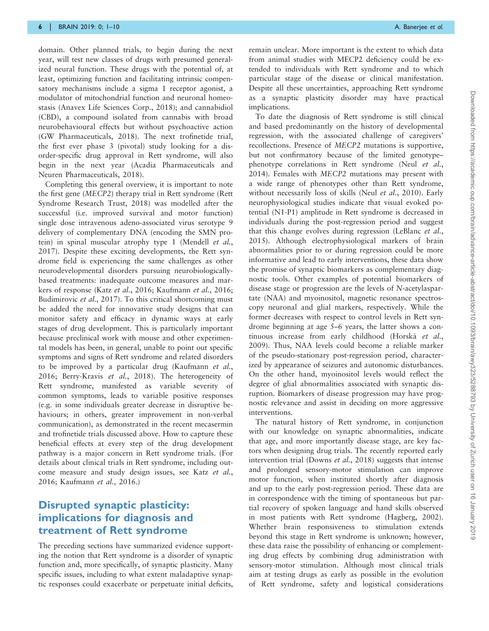domain. Other planned trials, to begin during the next year, will test new classes of drugs with presumed generalized neural function. These drugs with the potential of, at least, optimizing function and facilitating intrinsic compensatory mechanisms include a sigma 1 receptor agonist, a modulator of mitochondrial function and neuronal homeostasis [\(Anavex Life Sciences Corp., 2018\)](#page-7-0); and cannabidiol (CBD), a compound isolated from cannabis with broad neurobehavioural effects but without psychoactive action [\(GW Pharmaceuticals, 2018\)](#page-8-0). The next trofinetide trial, the first ever phase 3 (pivotal) study looking for a disorder-specific drug approval in Rett syndrome, will also begin in the next year [\(Acadia Pharmaceuticals and](#page-7-0) [Neuren Pharmaceuticals, 2018\)](#page-7-0).

Completing this general overview, it is important to note the first gene (MECP2) therapy trial in Rett syndrome [\(Rett](#page-9-0) [Syndrome Research Trust, 2018\)](#page-9-0) was modelled after the successful (i.e. improved survival and motor function) single dose intravenous adeno-associated virus serotype 9 delivery of complementary DNA (encoding the SMN protein) in spinal muscular atrophy type 1 ([Mendell](#page-9-0) et al., [2017](#page-9-0)). Despite these exciting developments, the Rett syndrome field is experiencing the same challenges as other neurodevelopmental disorders pursuing neurobiologicallybased treatments: inadequate outcome measures and markers of response (Katz et al.[, 2016](#page-8-0); [Kaufmann](#page-8-0) et al., 2016; [Budimirovic](#page-7-0) et al., 2017). To this critical shortcoming must be added the need for innovative study designs that can monitor safety and efficacy in dynamic ways at early stages of drug development. This is particularly important because preclinical work with mouse and other experimental models has been, in general, unable to point out specific symptoms and signs of Rett syndrome and related disorders to be improved by a particular drug ([Kaufmann](#page-8-0) et al., [2016](#page-8-0); [Berry-Kravis](#page-7-0) et al., 2018). The heterogeneity of Rett syndrome, manifested as variable severity of common symptoms, leads to variable positive responses (e.g. in some individuals greater decrease in disruptive behaviours; in others, greater improvement in non-verbal communication), as demonstrated in the recent mecasermin and trofinetide trials discussed above. How to capture these beneficial effects at every step of the drug development pathway is a major concern in Rett syndrome trials. (For details about clinical trials in Rett syndrome, including outcome measure and study design issues, see Katz [et al.](#page-8-0), [2016](#page-8-0); [Kaufmann](#page-8-0) et al., 2016.)

#### Disrupted synaptic plasticity: implications for diagnosis and treatment of Rett syndrome

The preceding sections have summarized evidence supporting the notion that Rett syndrome is a disorder of synaptic function and, more specifically, of synaptic plasticity. Many specific issues, including to what extent maladaptive synaptic responses could exacerbate or perpetuate initial deficits, remain unclear. More important is the extent to which data from animal studies with MECP2 deficiency could be extended to individuals with Rett syndrome and to which particular stage of the disease or clinical manifestation. Despite all these uncertainties, approaching Rett syndrome as a synaptic plasticity disorder may have practical implications.

To date the diagnosis of Rett syndrome is still clinical and based predominantly on the history of developmental regression, with the associated challenge of caregivers' recollections. Presence of MECP2 mutations is supportive, but not confirmatory because of the limited genotype– phenotype correlations in Rett syndrome (Neul [et al.](#page-9-0), [2014\)](#page-9-0). Females with MECP2 mutations may present with a wide range of phenotypes other than Rett syndrome, without necessarily loss of skills (Neul et al.[, 2010](#page-9-0)). Early neurophysiological studies indicate that visual evoked potential (N1-P1) amplitude in Rett syndrome is decreased in individuals during the post-regression period and suggest that this change evolves during regression ([LeBlanc](#page-8-0) et al., [2015\)](#page-8-0). Although electrophysiological markers of brain abnormalities prior to or during regression could be more informative and lead to early interventions, these data show the promise of synaptic biomarkers as complementary diagnostic tools. Other examples of potential biomarkers of disease stage or progression are the levels of N-acetylaspartate (NAA) and myoinositol, magnetic resonance spectroscopy neuronal and glial markers, respectively. While the former decreases with respect to control levels in Rett syndrome beginning at age 5–6 years, the latter shows a continuous increase from early childhood (Horská et al., [2009\)](#page-8-0). Thus, NAA levels could become a reliable marker of the pseudo-stationary post-regression period, characterized by appearance of seizures and autonomic disturbances. On the other hand, myoinositol levels would reflect the degree of glial abnormalities associated with synaptic disruption. Biomarkers of disease progression may have prognostic relevance and assist in deciding on more aggressive interventions.

The natural history of Rett syndrome, in conjunction with our knowledge on synaptic abnormalities, indicate that age, and more importantly disease stage, are key factors when designing drug trials. The recently reported early intervention trial [\(Downs](#page-7-0) *et al.*, 2018) suggests that intense and prolonged sensory-motor stimulation can improve motor function, when instituted shortly after diagnosis and up to the early post-regression period. These data are in correspondence with the timing of spontaneous but partial recovery of spoken language and hand skills observed in most patients with Rett syndrome ([Hagberg, 2002](#page-8-0)). Whether brain responsiveness to stimulation extends beyond this stage in Rett syndrome is unknown; however, these data raise the possibility of enhancing or complementing drug effects by combining drug administration with sensory-motor stimulation. Although most clinical trials aim at testing drugs as early as possible in the evolution of Rett syndrome, safety and logistical considerations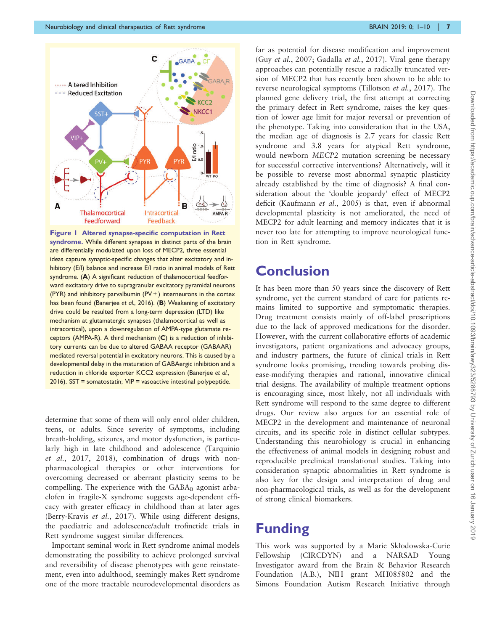

Figure 1 Altered synapse-specific computation in Rett syndrome. While different synapses in distinct parts of the brain are differentially modulated upon loss of MECP2, three essential ideas capture synaptic-specific changes that alter excitatory and inhibitory (E/I) balance and increase E/I ratio in animal models of Rett syndrome. (A) A significant reduction of thalamocortical feedforward excitatory drive to supragranular excitatory pyramidal neurons (PYR) and inhibitory parvalbumin  $(PV + )$  interneurons in the cortex has been found [\(Banerjee](#page-7-0) et al., 2016). (B) Weakening of excitatory drive could be resulted from a long-term depression (LTD) like mechanism at glutamatergic synapses (thalamocortical as well as intracortical), upon a downregulation of AMPA-type glutamate receptors (AMPA-R). A third mechanism (C) is a reduction of inhibitory currents can be due to altered GABAA receptor (GABAAR) mediated reversal potential in excitatory neurons. This is caused by a developmental delay in the maturation of GABAergic inhibition and a reduction in chloride exporter KCC2 expression [\(Banerjee](#page-7-0) et al., [2016](#page-7-0)). SST = somatostatin; VIP = vasoactive intestinal polypeptide.

determine that some of them will only enrol older children, teens, or adults. Since severity of symptoms, including breath-holding, seizures, and motor dysfunction, is particularly high in late childhood and adolescence ([Tarquinio](#page-9-0) et al.[, 2017](#page-9-0), [2018\)](#page-9-0), combination of drugs with nonpharmacological therapies or other interventions for overcoming decreased or aberrant plasticity seems to be compelling. The experience with the  $GABA_B$  agonist arbaclofen in fragile-X syndrome suggests age-dependent efficacy with greater efficacy in childhood than at later ages ([Berry-Kravis](#page-7-0) et al., 2017). While using different designs, the paediatric and adolescence/adult trofinetide trials in Rett syndrome suggest similar differences.

Important seminal work in Rett syndrome animal models demonstrating the possibility to achieve prolonged survival and reversibility of disease phenotypes with gene reinstatement, even into adulthood, seemingly makes Rett syndrome one of the more tractable neurodevelopmental disorders as far as potential for disease modification and improvement (Guy et al.[, 2007](#page-8-0); [Gadalla](#page-7-0) et al., 2017). Viral gene therapy approaches can potentially rescue a radically truncated version of MECP2 that has recently been shown to be able to reverse neurological symptoms ([Tillotson](#page-9-0) et al., 2017). The planned gene delivery trial, the first attempt at correcting the primary defect in Rett syndrome, raises the key question of lower age limit for major reversal or prevention of the phenotype. Taking into consideration that in the USA, the median age of diagnosis is 2.7 years for classic Rett syndrome and 3.8 years for atypical Rett syndrome, would newborn MECP2 mutation screening be necessary for successful corrective interventions? Alternatively, will it be possible to reverse most abnormal synaptic plasticity already established by the time of diagnosis? A final consideration about the 'double jeopardy' effect of MECP2 deficit ([Kaufmann](#page-8-0) et al., 2005) is that, even if abnormal developmental plasticity is not ameliorated, the need of MECP2 for adult learning and memory indicates that it is never too late for attempting to improve neurological function in Rett syndrome.

### **Conclusion**

It has been more than 50 years since the discovery of Rett syndrome, yet the current standard of care for patients remains limited to supportive and symptomatic therapies. Drug treatment consists mainly of off-label prescriptions due to the lack of approved medications for the disorder. However, with the current collaborative efforts of academic investigators, patient organizations and advocacy groups, and industry partners, the future of clinical trials in Rett syndrome looks promising, trending towards probing disease-modifying therapies and rational, innovative clinical trial designs. The availability of multiple treatment options is encouraging since, most likely, not all individuals with Rett syndrome will respond to the same degree to different drugs. Our review also argues for an essential role of MECP2 in the development and maintenance of neuronal circuits, and its specific role in distinct cellular subtypes. Understanding this neurobiology is crucial in enhancing the effectiveness of animal models in designing robust and reproducible preclinical translational studies. Taking into consideration synaptic abnormalities in Rett syndrome is also key for the design and interpretation of drug and non-pharmacological trials, as well as for the development of strong clinical biomarkers.

# Funding

This work was supported by a Marie Sklodowska-Curie Fellowship (CIRCDYN) and a NARSAD Young Investigator award from the Brain & Behavior Research Foundation (A.B.), NIH grant MH085802 and the Simons Foundation Autism Research Initiative through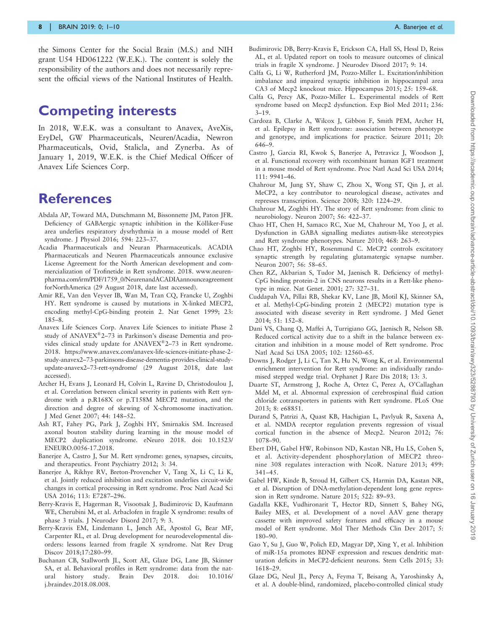<span id="page-7-0"></span>the Simons Center for the Social Brain (M.S.) and NIH grant U54 HD061222 (W.E.K.). The content is solely the responsibility of the authors and does not necessarily represent the official views of the National Institutes of Health.

## Competing interests

In 2018, W.E.K. was a consultant to Anavex, AveXis, EryDel, GW Pharmaceuticals, Neuren/Acadia, Newron Pharmaceuticals, Ovid, Stalicla, and Zynerba. As of January 1, 2019, W.E.K. is the Chief Medical Officer of Anavex Life Sciences Corp.

### **References**

- Abdala AP, Toward MA, Dutschmann M, Bissonnette JM, Paton JFR. Deficiency of GABAergic synaptic inhibition in the Kölliker-Fuse area underlies respiratory dysrhythmia in a mouse model of Rett syndrome. J Physiol 2016; 594: 223–37.
- Acadia Pharmaceuticals and Neuran Pharmaceuticals. ACADIA Pharmaceuticals and Neuren Pharmaceuticals announce exclusive License Agreement for the North American development and commercialization of Trofinetide in Rett syndrome. 2018. [www.neuren](www.neurenpharma.com/irm/PDF/1759_0/NeurenandACADIAannounceagreementforNorthAmerica)[pharma.com/irm/PDF/1759\\_0/NeurenandACADIAannounceagreement](www.neurenpharma.com/irm/PDF/1759_0/NeurenandACADIAannounceagreementforNorthAmerica) [forNorthAmerica](www.neurenpharma.com/irm/PDF/1759_0/NeurenandACADIAannounceagreementforNorthAmerica) (29 August 2018, date last accessed).
- Amir RE, Van den Veyver IB, Wan M, Tran CQ, Francke U, Zoghbi HY. Rett syndrome is caused by mutations in X-linked MECP2, encoding methyl-CpG-binding protein 2. Nat Genet 1999; 23: 185–8.
- Anavex Life Sciences Corp. Anavex Life Sciences to initiate Phase 2 study of ANAVEX®2-73 in Parkinson's disease Dementia and provides clinical study update for ANAVEX®2-73 in Rett syndrome. 2018. [https://www.anavex.com/anavex-life-sciences-initiate-phase-2](https://www.anavex.com/anavex-life-sciences-initiate-phase-2-study-anavex273-parkinsons-disease-dementia-provides-clinical-study-update-anavex273-rett-syndrome/) [study-anavex2–73-parkinsons-disease-dementia-provides-clinical-study](https://www.anavex.com/anavex-life-sciences-initiate-phase-2-study-anavex273-parkinsons-disease-dementia-provides-clinical-study-update-anavex273-rett-syndrome/)[update-anavex2–73-rett-syndrome/](https://www.anavex.com/anavex-life-sciences-initiate-phase-2-study-anavex273-parkinsons-disease-dementia-provides-clinical-study-update-anavex273-rett-syndrome/) (29 August 2018, date last accessed).
- Archer H, Evans J, Leonard H, Colvin L, Ravine D, Christodoulou J, et al. Correlation between clinical severity in patients with Rett syndrome with a p.R168X or p.T158M MECP2 mutation, and the direction and degree of skewing of X-chromosome inactivation. J Med Genet 2007; 44: 148–52.
- Ash RT, Fahey PG, Park J, Zoghbi HY, Smirnakis SM. Increased axonal bouton stability during learning in the mouse model of MECP2 duplication syndrome. eNeuro 2018. doi: 10.1523/ ENEURO.0056-17.2018.
- Banerjee A, Castro J, Sur M. Rett syndrome: genes, synapses, circuits, and therapeutics. Front Psychiatry 2012; 3: 34.
- Banerjee A, Rikhye RV, Breton-Provencher V, Tang X, Li C, Li K, et al. Jointly reduced inhibition and excitation underlies circuit-wide changes in cortical processing in Rett syndrome. Proc Natl Acad Sci USA 2016; 113: E7287–296.
- Berry-Kravis E, Hagerman R, Visootsak J, Budimirovic D, Kaufmann WE, Cherubini M, et al. Arbaclofen in fragile X syndrome: results of phase 3 trials. J Neurodev Disord 2017; 9: 3.
- Berry-Kravis EM, Lindemann L, Jønch AE, Apostol G, Bear MF, Carpenter RL, et al. Drug development for neurodevelopmental disorders: lessons learned from fragile X syndrome. Nat Rev Drug Discov 2018;17:280–99.
- Buchanan CB, Stallworth JL, Scott AE, Glaze DG, Lane JB, Skinner SA, et al. Behavioral profiles in Rett syndrome: data from the natural history study. Brain Dev 2018. doi: 10.1016/ j.braindev.2018.08.008.
- Budimirovic DB, Berry-Kravis E, Erickson CA, Hall SS, Hessl D, Reiss AL, et al. Updated report on tools to measure outcomes of clinical trials in fragile X syndrome. J Neurodev Disord 2017; 9: 14.
- Calfa G, Li W, Rutherford JM, Pozzo-Miller L. Excitation/inhibition imbalance and impaired synaptic inhibition in hippocampal area CA3 of Mecp2 knockout mice. Hippocampus 2015; 25: 159–68.
- Calfa G, Percy AK, Pozzo-Miller L. Experimental models of Rett syndrome based on Mecp2 dysfunction. Exp Biol Med 2011; 236:  $3 - 19$ .
- Cardoza B, Clarke A, Wilcox J, Gibbon F, Smith PEM, Archer H, et al. Epilepsy in Rett syndrome: association between phenotype and genotype, and implications for practice. Seizure 2011; 20: 646–9.
- Castro J, Garcia RI, Kwok S, Banerjee A, Petravicz J, Woodson J, et al. Functional recovery with recombinant human IGF1 treatment in a mouse model of Rett syndrome. Proc Natl Acad Sci USA 2014; 111: 9941–46.
- Chahrour M, Jung SY, Shaw C, Zhou X, Wong ST, Qin J, et al. MeCP2, a key contributor to neurological disease, activates and represses transcription. Science 2008; 320: 1224–29.
- Chahrour M, Zoghbi HY. The story of Rett syndrome: from clinic to neurobiology. Neuron 2007; 56: 422–37.
- Chao HT, Chen H, Samaco RC, Xue M, Chahrour M, Yoo J, et al. Dysfunction in GABA signalling mediates autism-like stereotypies and Rett syndrome phenotypes. Nature 2010; 468: 263–9.
- Chao HT, Zoghbi HY, Rosenmund C. MeCP2 controls excitatory synaptic strength by regulating glutamatergic synapse number. Neuron 2007; 56: 58–65.
- Chen RZ, Akbarian S, Tudor M, Jaenisch R. Deficiency of methyl-CpG binding protein-2 in CNS neurons results in a Rett-like phenotype in mice. Nat Genet. 2001; 27: 327–31.
- Cuddapah VA, Pillai RB, Shekar KV, Lane JB, Motil KJ, Skinner SA, et al. Methyl-CpG-binding protein 2 (MECP2) mutation type is associated with disease severity in Rett syndrome. J Med Genet 2014; 51: 152–8.
- Dani VS, Chang Q, Maffei A, Turrigiano GG, Jaenisch R, Nelson SB. Reduced cortical activity due to a shift in the balance between excitation and inhibition in a mouse model of Rett syndrome. Proc Natl Acad Sci USA 2005; 102: 12560–65.
- Downs J, Rodger J, Li C, Tan X, Hu N, Wong K, et al. Environmental enrichment intervention for Rett syndrome: an individually randomised stepped wedge trial. Orphanet J Rare Dis 2018; 13: 3.
- Duarte ST, Armstrong J, Roche A, Ortez C, Perez A, O'Callaghan Mdel M, et al. Abnormal expression of cerebrospinal fluid cation chloride cotransporters in patients with Rett syndrome. PLoS One 2013; 8: e68851.
- Durand S, Patrizi A, Quast KB, Hachigian L, Pavlyuk R, Saxena A, et al. NMDA receptor regulation prevents regression of visual cortical function in the absence of Mecp2. Neuron 2012; 76: 1078–90.
- Ebert DH, Gabel HW, Robinson ND, Kastan NR, Hu LS, Cohen S, et al. Activity-dependent phosphorylation of MECP2 threonine 308 regulates interaction with NcoR. Nature 2013; 499: 341–45.
- Gabel HW, Kinde B, Stroud H, Gilbert CS, Harmin DA, Kastan NR, et al. Disruption of DNA-methylation-dependent long gene repression in Rett syndrome. Nature 2015; 522: 89–93.
- Gadalla KKE, Vudhironarit T, Hector RD, Sinnett S, Bahey NG, Bailey MES, et al. Development of a novel AAV gene therapy cassette with improved safety features and efficacy in a mouse model of Rett syndrome. Mol Ther Methods Clin Dev 2017; 5: 180–90.
- Gao Y, Su J, Guo W, Polich ED, Magyar DP, Xing Y, et al. Inhibition of miR-15a promotes BDNF expression and rescues dendritic maturation deficits in MeCP2-deficient neurons. Stem Cells 2015; 33: 1618–29.
- Glaze DG, Neul JL, Percy A, Feyma T, Beisang A, Yaroshinsky A, et al. A double-blind, randomized, placebo-controlled clinical study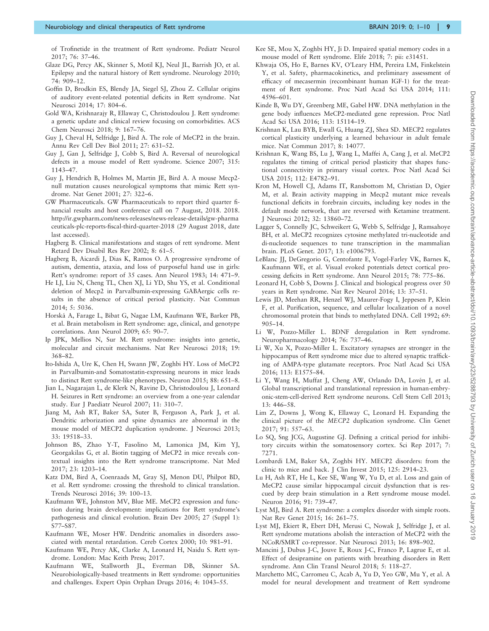<span id="page-8-0"></span>of Trofinetide in the treatment of Rett syndrome. Pediatr Neurol 2017; 76: 37–46.

- Glaze DG, Percy AK, Skinner S, Motil KJ, Neul JL, Barrish JO, et al. Epilepsy and the natural history of Rett syndrome. Neurology 2010; 74: 909–12.
- Goffin D, Brodkin ES, Blendy JA, Siegel SJ, Zhou Z. Cellular origins of auditory event-related potential deficits in Rett syndrome. Nat Neurosci 2014; 17: 804–6.
- Gold WA, Krishnarajy R, Ellaway C, Christodoulou J. Rett syndrome: a genetic update and clinical review focusing on comorbidities. ACS Chem Neurosci 2018; 9: 167–76.
- Guy J, Cheval H, Selfridge J, Bird A. The role of MeCP2 in the brain. Annu Rev Cell Dev Biol 2011; 27: 631–52.
- Guy J, Gan J, Selfridge J, Cobb S, Bird A. Reversal of neurological defects in a mouse model of Rett syndrome. Science 2007; 315: 1143–47.
- Guy J, Hendrich B, Holmes M, Martin JE, Bird A. A mouse Mecp2 null mutation causes neurological symptoms that mimic Rett syndrome. Nat Genet 2001; 27: 322–6.
- GW Pharmaceuticals. GW Pharmaceuticals to report third quarter financial results and host conference call on 7 August, 2018. 2018. [http://ir.gwpharm.com/news-releases/news-release-details/gw-pharma](http://ir.gwpharm.com/news-releases/news-release-details/gw-pharmaceuticals-plc-reports-fiscal-third-quarter-2018) [ceuticals-plc-reports-fiscal-third-quarter-2018](http://ir.gwpharm.com/news-releases/news-release-details/gw-pharmaceuticals-plc-reports-fiscal-third-quarter-2018) (29 August 2018, date last accessed).
- Hagberg B. Clinical manifestations and stages of rett syndrome. Ment Retard Dev Disabil Res Rev 2002; 8: 61–5.
- Hagberg B, Aicardi J, Dias K, Ramos O. A progressive syndrome of autism, dementia, ataxia, and loss of purposeful hand use in girls: Rett's syndrome: report of 35 cases. Ann Neurol 1983; 14: 471–9.
- He LJ, Liu N, Cheng TL, Chen XJ, Li YD, Shu YS, et al. Conditional deletion of Mecp2 in Parvalbumin-expressing GABAergic cells results in the absence of critical period plasticity. Nat Commun 2014; 5: 5036.
- Horska´ A, Farage L, Bibat G, Nagae LM, Kaufmann WE, Barker PB, et al. Brain metabolism in Rett syndrome: age, clinical, and genotype correlations. Ann Neurol 2009; 65: 90–7.
- Ip JPK, Mellios N, Sur M. Rett syndrome: insights into genetic, molecular and circuit mechanisms. Nat Rev Neurosci 2018; 19: 368–82.
- Ito-Ishida A, Ure K, Chen H, Swann JW, Zoghbi HY. Loss of MeCP2 in Parvalbumin-and Somatostatin-expressing neurons in mice leads to distinct Rett syndrome-like phenotypes. Neuron 2015; 88: 651–8.
- Jian L, Nagarajan L, de Klerk N, Ravine D, Christodoulou J, Leonard H. Seizures in Rett syndrome: an overview from a one-year calendar study. Eur J Paediatr Neurol 2007; 11: 310–7.
- Jiang M, Ash RT, Baker SA, Suter B, Ferguson A, Park J, et al. Dendritic arborization and spine dynamics are abnormal in the mouse model of MECP2 duplication syndrome. J Neurosci 2013; 33: 19518–33.
- Johnson BS, Zhao Y-T, Fasolino M, Lamonica JM, Kim YJ, Georgakilas G, et al. Biotin tagging of MeCP2 in mice reveals contextual insights into the Rett syndrome transcriptome. Nat Med 2017; 23: 1203–14.
- Katz DM, Bird A, Coenraads M, Gray SJ, Menon DU, Philpot BD, et al. Rett syndrome: crossing the threshold to clinical translation. Trends Neurosci 2016; 39: 100–13.
- Kaufmann WE, Johnston MV, Blue ME. MeCP2 expression and function during brain development: implications for Rett syndrome's pathogenesis and clinical evolution. Brain Dev 2005; 27 (Suppl 1): S77–S87.
- Kaufmann WE, Moser HW. Dendritic anomalies in disorders associated with mental retardation. Cereb Cortex 2000; 10: 981–91.
- Kaufmann WE, Percy AK, Clarke A, Leonard H, Naidu S. Rett syndrome. London: Mac Keith Press; 2017.
- Kaufmann WE, Stallworth JL, Everman DB, Skinner SA. Neurobiologically-based treatments in Rett syndrome: opportunities and challenges. Expert Opin Orphan Drugs 2016; 4: 1043–55.
- Kee SE, Mou X, Zoghbi HY, Ji D. Impaired spatial memory codes in a mouse model of Rett syndrome. Elife 2018; 7: pii: e31451.
- Khwaja OS, Ho E, Barnes KV, O'Leary HM, Pereira LM, Finkelstein Y, et al. Safety, pharmacokinetics, and preliminary assessment of efficacy of mecasermin (recombinant human IGF-1) for the treatment of Rett syndrome. Proc Natl Acad Sci USA 2014; 111: 4596–601.
- Kinde B, Wu DY, Greenberg ME, Gabel HW. DNA methylation in the gene body influences MeCP2-mediated gene repression. Proc Natl Acad Sci USA 2016; 113: 15114–19.
- Krishnan K, Lau BYB, Ewall G, Huang ZJ, Shea SD. MECP2 regulates cortical plasticity underlying a learned behaviour in adult female mice. Nat Commun 2017; 8: 14077.
- Krishnan K, Wang BS, Lu J, Wang L, Maffei A, Cang J, et al. MeCP2 regulates the timing of critical period plasticity that shapes functional connectivity in primary visual cortex. Proc Natl Acad Sci USA 2015; 112: E4782–91.
- Kron M, Howell CJ, Adams IT, Ransbottom M, Christian D, Ogier M, et al. Brain activity mapping in Mecp2 mutant mice reveals functional deficits in forebrain circuits, including key nodes in the default mode network, that are reversed with Ketamine treatment. J Neurosci 2012; 32: 13860–72.
- Lagger S, Connelly JC, Schweikert G, Webb S, Selfridge J, Ramsahoye BH, et al. MeCP2 recognizes cytosine methylated tri-nucleotide and di-nucleotide sequences to tune transcription in the mammalian brain. PLoS Genet. 2017; 13: e1006793.
- LeBlanc JJ, DeGregorio G, Centofante E, Vogel-Farley VK, Barnes K, Kaufmann WE, et al. Visual evoked potentials detect cortical processing deficits in Rett syndrome. Ann Neurol 2015; 78: 775–86.
- Leonard H, Cobb S, Downs J. Clinical and biological progress over 50 years in Rett syndrome. Nat Rev Neurol 2016; 13: 37–51.
- Lewis JD, Meehan RR, Henzel WJ, Maurer-Fogy I, Jeppesen P, Klein F, et al. Purification, sequence, and cellular localization of a novel chromosomal protein that binds to methylated DNA. Cell 1992; 69: 905–14.
- Li W, Pozzo-Miller L. BDNF deregulation in Rett syndrome. Neuropharmacology 2014; 76: 737–46.
- Li W, Xu X, Pozzo-Miller L. Excitatory synapses are stronger in the hippocampus of Rett syndrome mice due to altered synaptic trafficking of AMPA-type glutamate receptors. Proc Natl Acad Sci USA 2016; 113: E1575–84.
- Li Y, Wang H, Muffat J, Cheng AW, Orlando DA, Lovén J, et al. Global transcriptional and translational repression in human-embryonic-stem-cell-derived Rett syndrome neurons. Cell Stem Cell 2013; 13: 446–58.
- Lim Z, Downs J, Wong K, Ellaway C, Leonard H. Expanding the clinical picture of the MECP2 duplication syndrome. Clin Genet 2017; 91: 557–63.
- Lo SQ, Sng JCG, Augustine GJ. Defining a critical period for inhibitory circuits within the somatosensory cortex. Sci Rep 2017; 7: 7271.
- Lombardi LM, Baker SA, Zoghbi HY. MECP2 disorders: from the clinic to mice and back. J Clin Invest 2015; 125: 2914–23.
- Lu H, Ash RT, He L, Kee SE, Wang W, Yu D, et al. Loss and gain of MeCP2 cause similar hippocampal circuit dysfunction that is rescued by deep brain stimulation in a Rett syndrome mouse model. Neuron 2016; 91: 739–47.
- Lyst MJ, Bird A. Rett syndrome: a complex disorder with simple roots. Nat Rev Genet 2015; 16: 261–75.
- Lyst MJ, Ekiert R, Ebert DH, Merusi C, Nowak J, Selfridge J, et al. Rett syndrome mutations abolish the interaction of MeCP2 with the NCoR/SMRT co-repressor. Nat Neurosci 2013; 16: 898–902.
- Mancini J, Dubus J-C, Jouve E, Roux J-C, Franco P, Lagrue E, et al. Effect of desipramine on patients with breathing disorders in Rett syndrome. Ann Clin Transl Neurol 2018; 5: 118–27.
- Marchetto MC, Carromeu C, Acab A, Yu D, Yeo GW, Mu Y, et al. A model for neural development and treatment of Rett syndrome